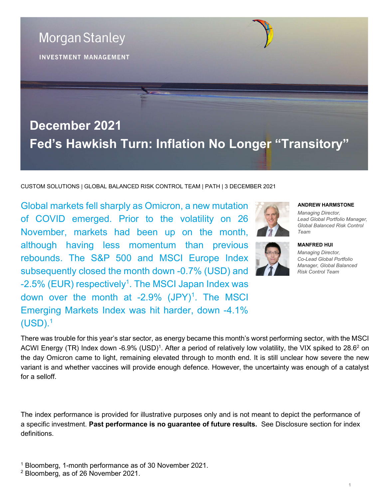

CUSTOM SOLUTIONS | GLOBAL BALANCED RISK CONTROL TEAM | PATH | 3 DECEMBER 2021

Global markets fell sharply as Omicron, a new mutation of COVID emerged. Prior to the volatility on 26 November, markets had been up on the month, although having less momentum than previous rebounds. The S&P 500 and MSCI Europe Index subsequently closed the month down -0.7% (USD) and -2.5% (EUR) respectively<sup>1</sup>. The MSCI Japan Index was down over the month at  $-2.9\%$  (JPY)<sup>1</sup>. The MSCI Emerging Markets Index was hit harder, down -4.1%  $(USD).<sup>1</sup>$ 

### ANDREW HARMSTONE

Managing Director, Lead Global Portfolio Manager, Global Balanced Risk Control Team



MANFRED HUI Managing Director, Co-Lead Global Portfolio Manager, Global Balanced

Risk Control Team

There was trouble for this year's star sector, as energy became this month's worst performing sector, with the MSCI ACWI Energy (TR) Index down -6.9% (USD)<sup>1</sup>. After a period of relatively low volatility, the VIX spiked to 28.6<sup>2</sup> on the day Omicron came to light, remaining elevated through to month end. It is still unclear how severe the new variant is and whether vaccines will provide enough defence. However, the uncertainty was enough of a catalyst for a selloff.

The index performance is provided for illustrative purposes only and is not meant to depict the performance of a specific investment. Past performance is no guarantee of future results. See Disclosure section for index definitions.

1 Bloomberg, 1-month performance as of 30 November 2021.

2 Bloomberg, as of 26 November 2021.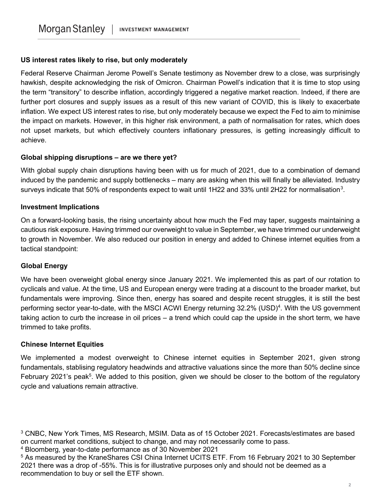### US interest rates likely to rise, but only moderately

Federal Reserve Chairman Jerome Powell's Senate testimony as November drew to a close, was surprisingly hawkish, despite acknowledging the risk of Omicron. Chairman Powell's indication that it is time to stop using the term "transitory" to describe inflation, accordingly triggered a negative market reaction. Indeed, if there are further port closures and supply issues as a result of this new variant of COVID, this is likely to exacerbate inflation. We expect US interest rates to rise, but only moderately because we expect the Fed to aim to minimise the impact on markets. However, in this higher risk environment, a path of normalisation for rates, which does not upset markets, but which effectively counters inflationary pressures, is getting increasingly difficult to achieve.

# Global shipping disruptions – are we there yet?

With global supply chain disruptions having been with us for much of 2021, due to a combination of demand induced by the pandemic and supply bottlenecks – many are asking when this will finally be alleviated. Industry surveys indicate that 50% of respondents expect to wait until 1H22 and 33% until 2H22 for normalisation<sup>3</sup>.

# Investment Implications

On a forward-looking basis, the rising uncertainty about how much the Fed may taper, suggests maintaining a cautious risk exposure. Having trimmed our overweight to value in September, we have trimmed our underweight to growth in November. We also reduced our position in energy and added to Chinese internet equities from a tactical standpoint:

### Global Energy

We have been overweight global energy since January 2021. We implemented this as part of our rotation to cyclicals and value. At the time, US and European energy were trading at a discount to the broader market, but fundamentals were improving. Since then, energy has soared and despite recent struggles, it is still the best performing sector year-to-date, with the MSCI ACWI Energy returning 32.2% (USD)<sup>4</sup>. With the US government taking action to curb the increase in oil prices – a trend which could cap the upside in the short term, we have trimmed to take profits.

### Chinese Internet Equities

We implemented a modest overweight to Chinese internet equities in September 2021, given strong fundamentals, stablising regulatory headwinds and attractive valuations since the more than 50% decline since February 2021's peak<sup>5</sup>. We added to this position, given we should be closer to the bottom of the regulatory cycle and valuations remain attractive.

<sup>3</sup> CNBC, New York Times, MS Research, MSIM. Data as of 15 October 2021. Forecasts/estimates are based on current market conditions, subject to change, and may not necessarily come to pass.

<sup>4</sup> Bloomberg, year-to-date performance as of 30 November 2021

<sup>&</sup>lt;sup>5</sup> As measured by the KraneShares CSI China Internet UCITS ETF. From 16 February 2021 to 30 September 2021 there was a drop of -55%. This is for illustrative purposes only and should not be deemed as a recommendation to buy or sell the ETF shown.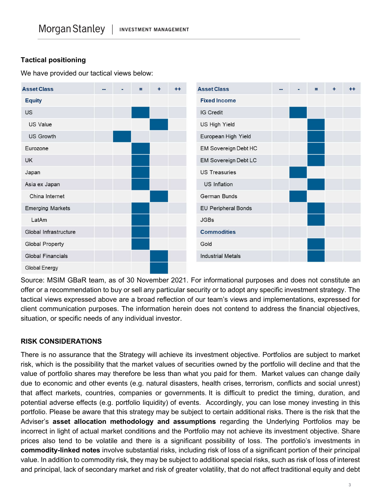# Tactical positioning

We have provided our tactical views below:



Source: MSIM GBaR team, as of 30 November 2021. For informational purposes and does not constitute an offer or a recommendation to buy or sell any particular security or to adopt any specific investment strategy. The tactical views expressed above are a broad reflection of our team's views and implementations, expressed for client communication purposes. The information herein does not contend to address the financial objectives, situation, or specific needs of any individual investor.

### RISK CONSIDERATIONS

There is no assurance that the Strategy will achieve its investment objective. Portfolios are subject to market risk, which is the possibility that the market values of securities owned by the portfolio will decline and that the value of portfolio shares may therefore be less than what you paid for them. Market values can change daily due to economic and other events (e.g. natural disasters, health crises, terrorism, conflicts and social unrest) that affect markets, countries, companies or governments. It is difficult to predict the timing, duration, and potential adverse effects (e.g. portfolio liquidity) of events. Accordingly, you can lose money investing in this portfolio. Please be aware that this strategy may be subject to certain additional risks. There is the risk that the Adviser's asset allocation methodology and assumptions regarding the Underlying Portfolios may be incorrect in light of actual market conditions and the Portfolio may not achieve its investment objective. Share prices also tend to be volatile and there is a significant possibility of loss. The portfolio's investments in commodity-linked notes involve substantial risks, including risk of loss of a significant portion of their principal value. In addition to commodity risk, they may be subject to additional special risks, such as risk of loss of interest and principal, lack of secondary market and risk of greater volatility, that do not affect traditional equity and debt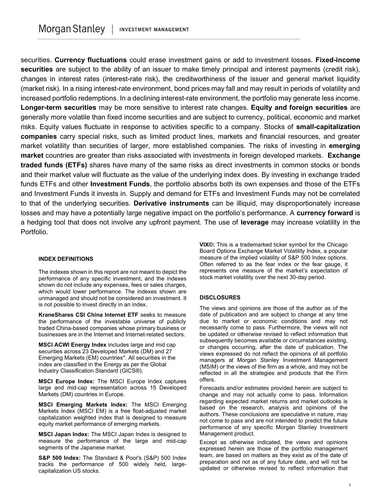securities. Currency fluctuations could erase investment gains or add to investment losses. Fixed-income securities are subject to the ability of an issuer to make timely principal and interest payments (credit risk), changes in interest rates (interest-rate risk), the creditworthiness of the issuer and general market liquidity (market risk). In a rising interest-rate environment, bond prices may fall and may result in periods of volatility and increased portfolio redemptions. In a declining interest-rate environment, the portfolio may generate less income. Longer-term securities may be more sensitive to interest rate changes. Equity and foreign securities are generally more volatile than fixed income securities and are subject to currency, political, economic and market risks. Equity values fluctuate in response to activities specific to a company. Stocks of small-capitalization companies carry special risks, such as limited product lines, markets and financial resources, and greater market volatility than securities of larger, more established companies. The risks of investing in emerging market countries are greater than risks associated with investments in foreign developed markets. Exchange traded funds (ETFs) shares have many of the same risks as direct investments in common stocks or bonds and their market value will fluctuate as the value of the underlying index does. By investing in exchange traded funds ETFs and other **Investment Funds**, the portfolio absorbs both its own expenses and those of the ETFs and Investment Funds it invests in. Supply and demand for ETFs and Investment Funds may not be correlated to that of the underlying securities. Derivative instruments can be illiquid, may disproportionately increase losses and may have a potentially large negative impact on the portfolio's performance. A currency forward is a hedging tool that does not involve any upfront payment. The use of leverage may increase volatility in the Portfolio.

#### INDEX DEFINITIONS

The indexes shown in this report are not meant to depict the performance of any specific investment, and the indexes shown do not include any expenses, fees or sales charges, which would lower performance. The indexes shown are unmanaged and should not be considered an investment. It is not possible to invest directly in an index.

KraneShares CSI China Internet ETF seeks to measure the performance of the investable universe of publicly traded China-based companies whose primary business or businesses are in the Internet and Internet-related sectors.

MSCI ACWI Energy Index includes large and mid cap securities across 23 Developed Markets (DM) and 27 Emerging Markets (EM) countries\*. All securities in the index are classified in the Energy as per the Global Industry Classification Standard (GICS®).

MSCI Europe Index: The MSCI Europe Index captures large and mid-cap representation across 15 Developed Markets (DM) countries in Europe.

MSCI Emerging Markets Index: The MSCI Emerging Markets Index (MSCI EM) is a free float-adjusted market capitalization weighted index that is designed to measure equity market performance of emerging markets.

MSCI Japan Index: The MSCI Japan Index is designed to measure the performance of the large and mid-cap segments of the Japanese market.

S&P 500 Index: The Standard & Poor's (S&P) 500 Index tracks the performance of 500 widely held, largecapitalization US stocks.

VIX©: This is a trademarked ticker symbol for the Chicago Board Options Exchange Market Volatility Index, a popular measure of the implied volatility of S&P 500 Index options. Often referred to as the fear index or the fear gauge, it represents one measure of the market's expectation of stock market volatility over the next 30-day period.

#### **DISCLOSURES**

The views and opinions are those of the author as of the date of publication and are subject to change at any time due to market or economic conditions and may not necessarily come to pass. Furthermore, the views will not be updated or otherwise revised to reflect information that subsequently becomes available or circumstances existing, or changes occurring, after the date of publication. The views expressed do not reflect the opinions of all portfolio managers at Morgan Stanley Investment Management (MSIM) or the views of the firm as a whole, and may not be reflected in all the strategies and products that the Firm offers.

Forecasts and/or estimates provided herein are subject to change and may not actually come to pass. Information regarding expected market returns and market outlooks is based on the research, analysis and opinions of the authors. These conclusions are speculative in nature, may not come to pass and are not intended to predict the future performance of any specific Morgan Stanley Investment Management product.

Except as otherwise indicated, the views and opinions expressed herein are those of the portfolio management team, are based on matters as they exist as of the date of preparation and not as of any future date, and will not be updated or otherwise revised to reflect information that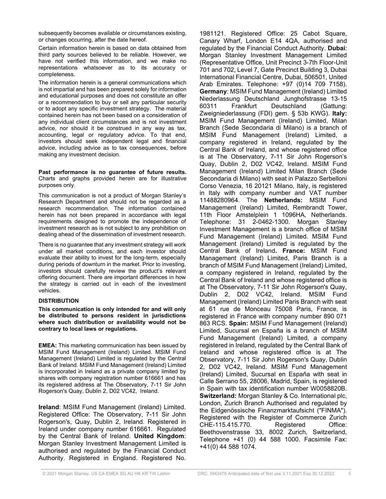subsequently becomes available or circumstances existing, or changes occurring, after the date hereof.

Certain information herein is based on data obtained from third party sources believed to be reliable. However, we have not verified this information, and we make no representations whatsoever as to its accuracy or completeness.

The information herein is a general communications which is not impartial and has been prepared solely for information and educational purposes and does not constitute an offer or a recommendation to buy or sell any particular security or to adopt any specific investment strategy. The material contained herein has not been based on a consideration of any individual client circumstances and is not investment advice, nor should it be construed in any way as tax, accounting, legal or regulatory advice. To that end, investors should seek independent legal and financial advice, including advice as to tax consequences, before making any investment decision.

Past performance is no guarantee of future results. Charts and graphs provided herein are for illustrative purposes only.

This communication is not a product of Morgan Stanley's Research Department and should not be regarded as a research recommendation. The information contained herein has not been prepared in accordance with legal requirements designed to promote the independence of investment research as is not subject to any prohibition on dealing ahead of the dissemination of investment research.

There is no guarantee that any investment strategy will work under all market conditions, and each investor should evaluate their ability to invest for the long-term, especially during periods of downturn in the market. Prior to investing, investors should carefully review the product's relevant offering document. There are important differences in how the strategy is carried out in each of the investment vehicles.

### DISTRIBUTION

This communication is only intended for and will only be distributed to persons resident in jurisdictions where such distribution or availability would not be contrary to local laws or regulations.

EMEA: This marketing communication has been issued by MSIM Fund Management (Ireland) Limited. MSIM Fund Management (Ireland) Limited is regulated by the Central Bank of Ireland. MSIM Fund Management (Ireland) Limited is incorporated in Ireland as a private company limited by shares with company registration number 616661 and has its registered address at The Observatory, 7-11 Sir John Rogerson's Quay, Dublin 2, D02 VC42, Ireland.

Ireland: MSIM Fund Management (Ireland) Limited. Registered Office: The Observatory, 7-11 Sir John Rogerson's, Quay, Dublin 2, Ireland. Registered in Ireland under company number 616661. Regulated by the Central Bank of Ireland. United Kingdom: Morgan Stanley Investment Management Limited is authorised and regulated by the Financial Conduct Authority. Registered in England. Registered No.

1981121. Registered Office: 25 Cabot Square, Canary Wharf, London E14 4QA, authorised and regulated by the Financial Conduct Authority. Dubai: Morgan Stanley Investment Management Limited (Representative Office, Unit Precinct 3-7th Floor-Unit 701 and 702, Level 7, Gate Precinct Building 3, Dubai International Financial Centre, Dubai, 506501, United Arab Emirates. Telephone: +97 (0)14 709 7158). Germany: MSIM Fund Management (Ireland) Limited Niederlassung Deutschland Junghofstrasse 13-15 60311 Frankfurt Deutschland (Gattung: Zweigniederlassung (FDI) gem. § 53b KWG). Italy: MSIM Fund Management (Ireland) Limited, Milan Branch (Sede Secondaria di Milano) is a branch of MSIM Fund Management (Ireland) Limited, a company registered in Ireland, regulated by the Central Bank of Ireland, and whose registered office is at The Observatory, 7-11 Sir John Rogerson's Quay, Dublin 2, D02 VC42, Ireland. MSIM Fund Management (Ireland) Limited Milan Branch (Sede Secondaria di Milano) with seat in Palazzo Serbelloni Corso Venezia, 16 20121 Milano, Italy, is registered in Italy with company number and VAT number 11488280964. The Netherlands: MSIM Fund Management (Ireland) Limited, Rembrandt Tower, 11th Floor Amstelplein 1 1096HA, Netherlands. Telephone: 31 2-0462-1300. Morgan Stanley Investment Management is a branch office of MSIM Fund Management (Ireland) Limited. MSIM Fund Management (Ireland) Limited is regulated by the Central Bank of Ireland. France: MSIM Fund Management (Ireland) Limited, Paris Branch is a branch of MSIM Fund Management (Ireland) Limited, a company registered in Ireland, regulated by the Central Bank of Ireland and whose registered office is at The Observatory, 7-11 Sir John Rogerson's Quay, Dublin 2, D02 VC42, Ireland. MSIM Fund Management (Ireland) Limited Paris Branch with seat at 61 rue de Monceau 75008 Paris, France, is registered in France with company number 890 071 863 RCS. Spain: MSIM Fund Management (Ireland) Limited, Sucursal en España is a branch of MSIM Fund Management (Ireland) Limited, a company registered in Ireland, regulated by the Central Bank of Ireland and whose registered office is at The Observatory, 7-11 Sir John Rogerson's Quay, Dublin 2, D02 VC42, Ireland. MSIM Fund Management (Ireland) Limited, Sucursal en España with seat in Calle Serrano 55, 28006, Madrid, Spain, is registered in Spain with tax identification number W0058820B. Switzerland: Morgan Stanley & Co. International plc, London, Zurich Branch Authorised and regulated by the Eidgenössische Finanzmarktaufsicht ("FINMA"). Registered with the Register of Commerce Zurich CHE-115.415.770. Registered Office: Beethovenstrasse 33, 8002 Zurich, Switzerland, Telephone +41 (0) 44 588 1000. Facsimile Fax: +41(0) 44 588 1074.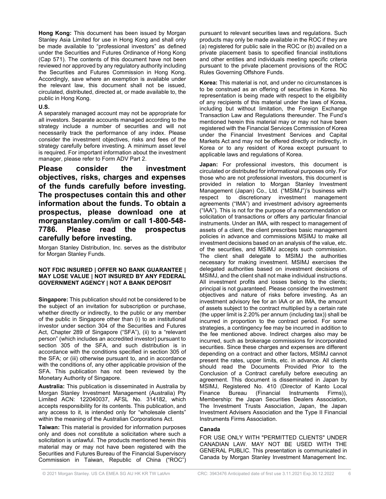Hong Kong: This document has been issued by Morgan Stanley Asia Limited for use in Hong Kong and shall only be made available to "professional investors" as defined under the Securities and Futures Ordinance of Hong Kong (Cap 571). The contents of this document have not been reviewed nor approved by any regulatory authority including the Securities and Futures Commission in Hong Kong. Accordingly, save where an exemption is available under the relevant law, this document shall not be issued, circulated, distributed, directed at, or made available to, the public in Hong Kong.

#### U.S.

A separately managed account may not be appropriate for all investors. Separate accounts managed according to the strategy include a number of securities and will not necessarily track the performance of any index. Please consider the investment objectives, risks and fees of the strategy carefully before investing. A minimum asset level is required. For important information about the investment manager, please refer to Form ADV Part 2.

Please consider the investment objectives, risks, charges and expenses of the funds carefully before investing. The prospectuses contain this and other information about the funds. To obtain a prospectus, please download one at morganstanley.com/im or call 1-800-548- 7786. Please read the prospectus carefully before investing.

Morgan Stanley Distribution, Inc. serves as the distributor for Morgan Stanley Funds.

#### NOT FDIC INSURED | OFFER NO BANK GUARANTEE | MAY LOSE VALUE | NOT INSURED BY ANY FEDERAL GOVERNMENT AGENCY | NOT A BANK DEPOSIT

Singapore: This publication should not be considered to be the subject of an invitation for subscription or purchase, whether directly or indirectly, to the public or any member of the public in Singapore other than (i) to an institutional investor under section 304 of the Securities and Futures Act, Chapter 289 of Singapore ("SFA"), (ii) to a "relevant person" (which includes an accredited investor) pursuant to section 305 of the SFA, and such distribution is in accordance with the conditions specified in section 305 of the SFA; or (iii) otherwise pursuant to, and in accordance with the conditions of, any other applicable provision of the SFA. This publication has not been reviewed by the Monetary Authority of Singapore.

Australia: This publication is disseminated in Australia by Morgan Stanley Investment Management (Australia) Pty Limited ACN: 122040037, AFSL No. 314182, which accepts responsibility for its contents. This publication, and any access to it, is intended only for "wholesale clients" within the meaning of the Australian Corporations Act.

Taiwan: This material is provided for information purposes only and does not constitute a solicitation where such a solicitation is unlawful. The products mentioned herein this material may or may not have been registered with the Securities and Futures Bureau of the Financial Supervisory Commission in Taiwan, Republic of China ("ROC")

pursuant to relevant securities laws and regulations. Such products may only be made available in the ROC if they are (a) registered for public sale in the ROC or (b) availed on a private placement basis to specified financial institutions and other entities and individuals meeting specific criteria pursuant to the private placement provisions of the ROC Rules Governing Offshore Funds.

Korea: This material is not, and under no circumstances is to be construed as an offering of securities in Korea. No representation is being made with respect to the eligibility of any recipients of this material under the laws of Korea, including but without limitation, the Foreign Exchange Transaction Law and Regulations thereunder. The Fund's mentioned herein this material may or may not have been registered with the Financial Services Commission of Korea under the Financial Investment Services and Capital Markets Act and may not be offered directly or indirectly, in Korea or to any resident of Korea except pursuant to applicable laws and regulations of Korea.

Japan: For professional investors, this document is circulated or distributed for informational purposes only. For those who are not professional investors, this document is provided in relation to Morgan Stanley Investment Management (Japan) Co., Ltd. ("MSIMJ")'s business with respect to discretionary investment management agreements ("IMA") and investment advisory agreements ("IAA"). This is not for the purpose of a recommendation or solicitation of transactions or offers any particular financial instruments. Under an IMA, with respect to management of assets of a client, the client prescribes basic management policies in advance and commissions MSIMJ to make all investment decisions based on an analysis of the value, etc. of the securities, and MSIMJ accepts such commission. The client shall delegate to MSIMJ the authorities necessary for making investment. MSIMJ exercises the delegated authorities based on investment decisions of MSIMJ, and the client shall not make individual instructions. All investment profits and losses belong to the clients; principal is not guaranteed. Please consider the investment objectives and nature of risks before investing. As an investment advisory fee for an IAA or an IMA, the amount of assets subject to the contract multiplied by a certain rate (the upper limit is 2.20% per annum (including tax)) shall be incurred in proportion to the contract period. For some strategies, a contingency fee may be incurred in addition to the fee mentioned above. Indirect charges also may be incurred, such as brokerage commissions for incorporated securities. Since these charges and expenses are different depending on a contract and other factors, MSIMJ cannot present the rates, upper limits, etc. in advance. All clients should read the Documents Provided Prior to the Conclusion of a Contract carefully before executing an agreement. This document is disseminated in Japan by MSIMJ, Registered No. 410 (Director of Kanto Local Finance Bureau (Financial Instruments Firms)), Membership: the Japan Securities Dealers Association, The Investment Trusts Association, Japan, the Japan Investment Advisers Association and the Type II Financial Instruments Firms Association.

#### Canada

FOR USE ONLY WITH "PERMITTED CLIENTS" UNDER CANADIAN LAW. MAY NOT BE USED WITH THE GENERAL PUBLIC. This presentation is communicated in Canada by Morgan Stanley Investment Management Inc.